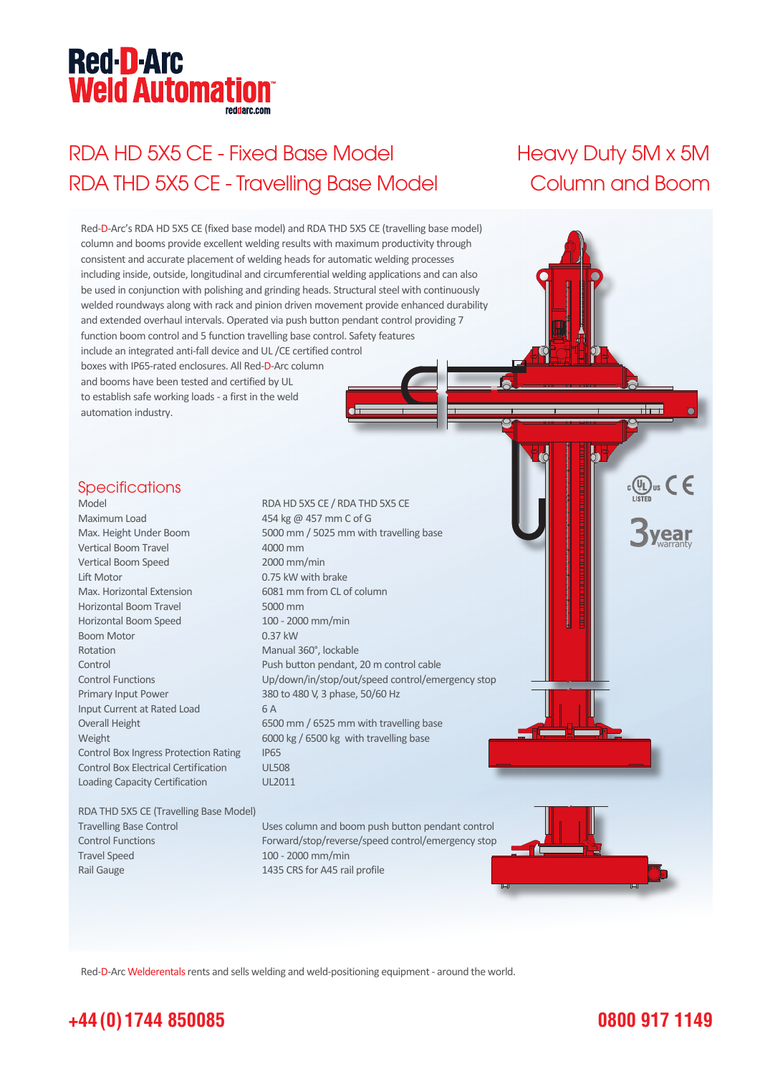# **Red-D-Arc Weld Automation®**

# RDA HD 5X5 CE - Fixed Base Model Heavy Duty 5M x 5M RDA THD 5X5 CE - Travelling Base Model Column and Boom



Red-D-Arc Welderentals rents and sells welding and weld-positioning equipment - around the world.

### **+44 (0) 1744 850085**

#### **0800 917 1149**